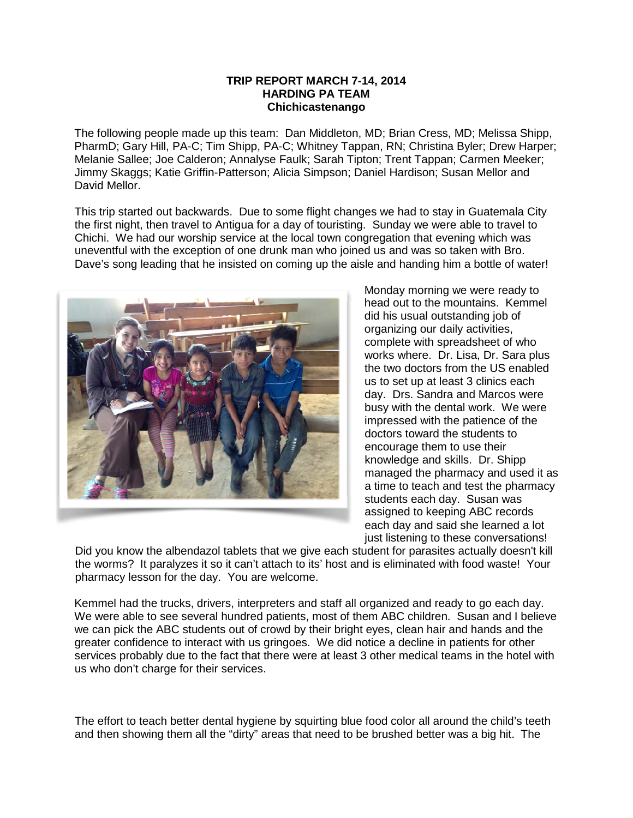## **TRIP REPORT MARCH 7-14, 2014 HARDING PA TEAM Chichicastenango**

The following people made up this team: Dan Middleton, MD; Brian Cress, MD; Melissa Shipp, PharmD; Gary Hill, PA-C; Tim Shipp, PA-C; Whitney Tappan, RN; Christina Byler; Drew Harper; Melanie Sallee; Joe Calderon; Annalyse Faulk; Sarah Tipton; Trent Tappan; Carmen Meeker; Jimmy Skaggs; Katie Griffin-Patterson; Alicia Simpson; Daniel Hardison; Susan Mellor and David Mellor.

This trip started out backwards. Due to some flight changes we had to stay in Guatemala City the first night, then travel to Antigua for a day of touristing. Sunday we were able to travel to Chichi. We had our worship service at the local town congregation that evening which was uneventful with the exception of one drunk man who joined us and was so taken with Bro. Dave's song leading that he insisted on coming up the aisle and handing him a bottle of water!



Monday morning we were ready to head out to the mountains. Kemmel did his usual outstanding job of organizing our daily activities, complete with spreadsheet of who works where. Dr. Lisa, Dr. Sara plus the two doctors from the US enabled us to set up at least 3 clinics each day. Drs. Sandra and Marcos were busy with the dental work. We were impressed with the patience of the doctors toward the students to encourage them to use their knowledge and skills. Dr. Shipp managed the pharmacy and used it as a time to teach and test the pharmacy students each day. Susan was assigned to keeping ABC records each day and said she learned a lot just listening to these conversations!

Did you know the albendazol tablets that we give each student for parasites actually doesn't kill the worms? It paralyzes it so it can't attach to its' host and is eliminated with food waste! Your pharmacy lesson for the day. You are welcome.

Kemmel had the trucks, drivers, interpreters and staff all organized and ready to go each day. We were able to see several hundred patients, most of them ABC children. Susan and I believe we can pick the ABC students out of crowd by their bright eyes, clean hair and hands and the greater confidence to interact with us gringoes. We did notice a decline in patients for other services probably due to the fact that there were at least 3 other medical teams in the hotel with us who don't charge for their services.

The effort to teach better dental hygiene by squirting blue food color all around the child's teeth and then showing them all the "dirty" areas that need to be brushed better was a big hit. The